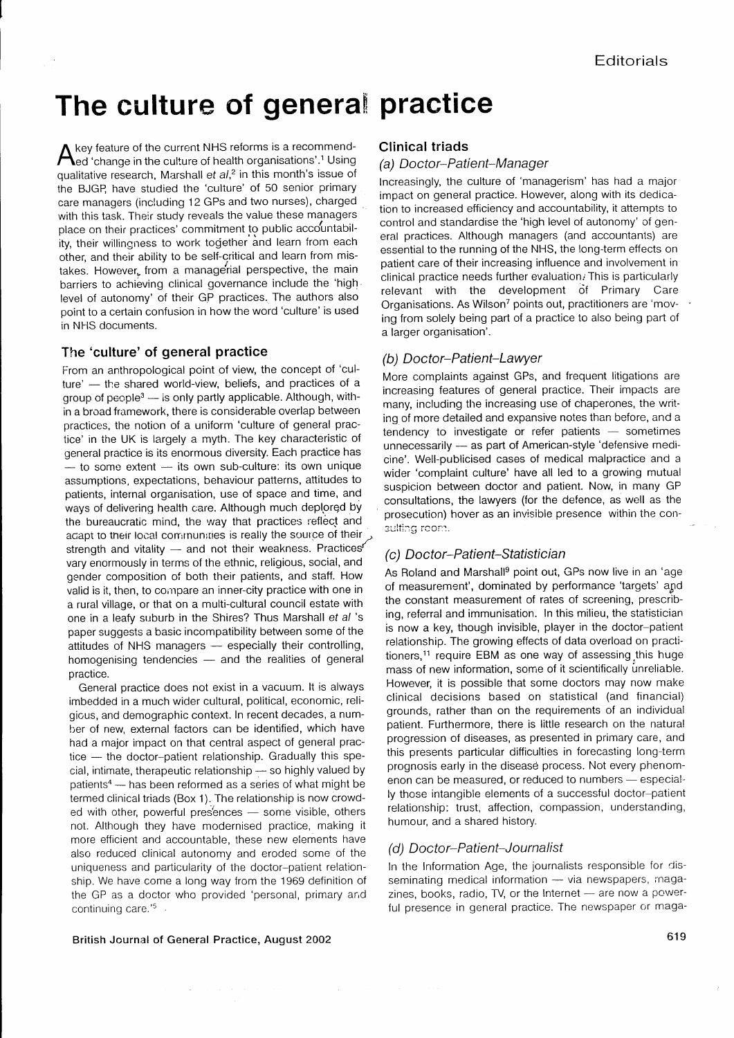# The culture of general practice

 $\Lambda$  key feature of the current NHS reforms is a recommend- $\bigwedge$ ed 'change in the culture of health organisations'.<sup>1</sup> Using qualitative research, Marshall et  $al<sup>2</sup>$  in this month's issue of the BJGP, have studied the 'culture' of 50 senior primary care managers (including 12 GPs and two nurses), charged with this task. Their study reveals the value these managers place on their practices' commitment to public accountability, their willingness to work together and learn from each other, and their ability to be self-critical and learn from mistakes. However, from a managerial perspective, the main barriers to achieving clinical governance include the 'high level of autonomy' of their GP practices. The authors also point to a certain confusion in how the word 'culture' is used in NHS documents.

### The 'culture' of general practice

From an anthropological point of view, the concept of 'culture' - the shared world-view, beliefs, and practices of a group of  $people<sup>3</sup>$  - is only partly applicable. Although, within a broad framework, there is considerable overlap between practices, the notion of a uniform 'culture of general practice' in the UK is largely a myth. The key characteristic of general practice is its enormous diversity. Each practice has  $-$  to some extent  $-$  its own sub-culture: its own unique assumptions, expectations, behaviour patterns, attitudes to patients, internal organisation, use of space and time, and ways of delivering health care. Although much deplored by the bureaucratic mind, the way that practices reflect and acapt to their local communities is really the source of their strength and vitality  $-$  and not their weakness. Practices vary enormously in terms of the ethnic, religious, social, and gender composition of both their patients, and staff. How valid is it, then, to compare an inner-city practice with one in a rural village, or that on a multi-cultural council estate with one in a leafy suburb in the Shires? Thus Marshall et al 's paper suggests a basic incompatibility between some of the attitudes of NHS managers - especially their controlling, homogenising tendencies  $-$  and the realities of general practice.

General practice does not exist in a vacuum. lt is always imbedded in a much wider cultural, political, economic, religious, and demographic context. In recent decades, a number of new, external factors can be identified, which have had a major impact on that central aspect of general prac $tice$  — the doctor-patient relationship. Gradually this special, intimate, therapeutic relationship . so highly valued by patients<sup>4</sup> - has been reformed as a series of what might be termed clinical triads (Box 1). The relationship is now crowded with other, powerful presences  $-$  some visible, others not. Although they have modernised practice, making it more efficient and accountable, these new elements have also reduced clinical autonomy and eroded some of the uniqueness and particularity of the doctor-patient relationship. We have come a long way from the 1969 definition of the GP as a doctor who provided 'personal, primary and continuing care.'<sup>5</sup>

### Clinical triads

.

#### (a) Doctor-Patient-Manager

lncreasingly, the culture of 'managerism' has had a major impact on general practice. However, along with its dedication to increased efficiency and accountability, it attempts to control and standardise the 'high level of autonomy' of general practices. Although managers (and accountants) are essential to the running of the NHS, the long-term effects on patient care of their increasing influence and involvement in clinical practice needs further evaluation. This is particularly relevant with the development of Primary Care Organisations. As Wilson<sup>7</sup> points out, practitioners are 'moving from solely being part of a practice to also being part of a larger organisation'.

### (b) Doctor-Patient-Lawyer

More complaints against GPs, and frequent litigations are increasing features of general practice. Their impacts are many, including the increasing use of chaperones, the writing of more detailed and expansive notes than before, and a tendency to investigate or refer patients  $-$  sometimes unnecessarily - as part of American-style 'defensive medicine'. Well-publicised cases of medical malpractice and a wider 'complaint culture' have all led to a growing mutual suspicion between doctor and patient. Now, in many GP consultations, the lawyers (for the defence, as well as the prosecution) hover as an invisible presence within the coneulting room

### (c) Doctor-Patient-Statistician

As Roland and Marshall<sup>9</sup> point out, GPs now live in an 'age of measurement', dominated by performance 'targets' and the constant measurement of rates of screening, prescribing, referral and immunisation. ln this milieu, the statistician is now a key, though invisible, player in the doctor-patient relationship. The growing effects of data overload on practitioners,<sup>11</sup> require EBM as one way of assessing this huge mass of new information, some of it scientifically únreliable. However, it is possible that some doctors may now make clinical decisions based on statistical (and financial) grounds, rather than on the requirements of an individual patient. Furthermore, there is little research on the natural progression of diseases, as presented in primary care, and this presents pafticular difficulties in forecasting long-term prognosis early in the disease process. Not every phenomenon can be measured, or reduced to numbers - especially those intangible elements of a successful doctor-patient relationship: trust, affection, compassion, understanding, humour, and a shared history.

### (d) Doctor-Patient-Journalist

ln the Information Age, the journalists responsible for disseminating medical information - via newspapers, magazines, books, radio,  $TV$ , or the Internet  $-$  are now a powerful presence in general practice. The newspaper or maga-

### British Journal of General Practice, August 2OO2

619